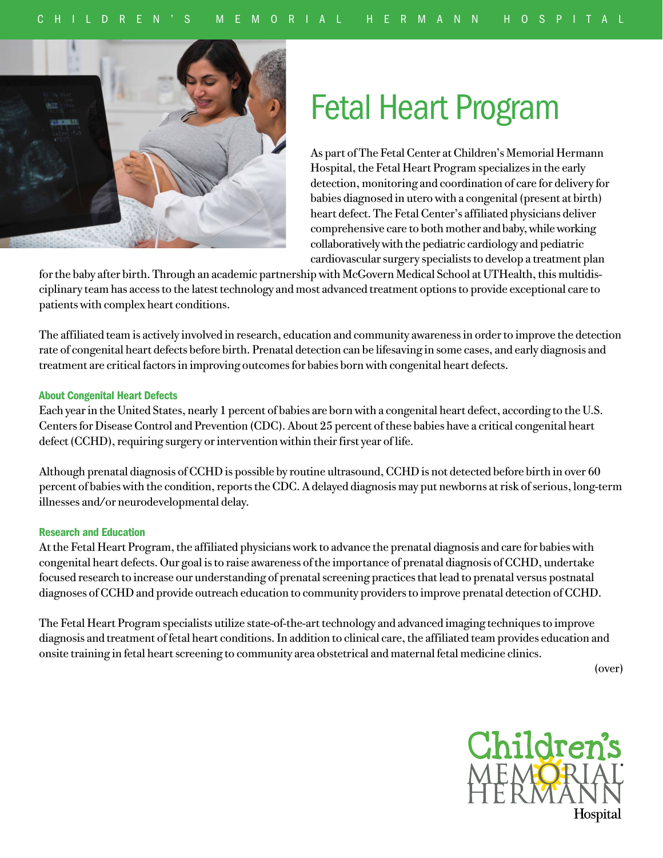

# Fetal Heart Program

As part of The Fetal Center at Children's Memorial Hermann Hospital, the Fetal Heart Program specializes in the early detection, monitoring and coordination of care for delivery for babies diagnosed in utero with a congenital (present at birth) heart defect. The Fetal Center's affiliated physicians deliver comprehensive care to both mother and baby, while working collaboratively with the pediatric cardiology and pediatric cardiovascular surgery specialists to develop a treatment plan

for the baby after birth. Through an academic partnership with McGovern Medical School at UTHealth, this multidisciplinary team has access to the latest technology and most advanced treatment options to provide exceptional care to patients with complex heart conditions.

The affiliated team is actively involved in research, education and community awareness in order to improve the detection rate of congenital heart defects before birth. Prenatal detection can be lifesaving in some cases, and early diagnosis and treatment are critical factors in improving outcomes for babies born with congenital heart defects.

## About Congenital Heart Defects

Each year in the United States, nearly 1 percent of babies are born with a congenital heart defect, according to the U.S. Centers for Disease Control and Prevention (CDC). About 25 percent of these babies have a critical congenital heart defect (CCHD), requiring surgery or intervention within their first year of life.

Although prenatal diagnosis of CCHD is possible by routine ultrasound, CCHD is not detected before birth in over 60 percent of babies with the condition, reports the CDC. A delayed diagnosis may put newborns at risk of serious, long-term illnesses and/or neurodevelopmental delay.

### Research and Education

At the Fetal Heart Program, the affiliated physicians work to advance the prenatal diagnosis and care for babies with congenital heart defects. Our goal is to raise awareness of the importance of prenatal diagnosis of CCHD, undertake focused research to increase our understanding of prenatal screening practices that lead to prenatal versus postnatal diagnoses of CCHD and provide outreach education to community providers to improve prenatal detection of CCHD.

The Fetal Heart Program specialists utilize state-of-the-art technology and advanced imaging techniques to improve diagnosis and treatment of fetal heart conditions. In addition to clinical care, the affiliated team provides education and onsite training in fetal heart screening to community area obstetrical and maternal fetal medicine clinics.

(over)